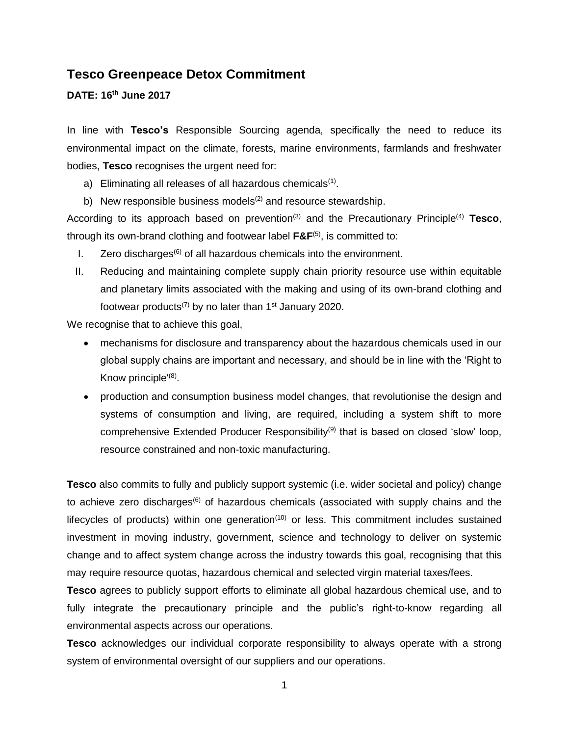# **Tesco Greenpeace Detox Commitment**

### **DATE: 16 th June 2017**

In line with **Tesco's** Responsible Sourcing agenda, specifically the need to reduce its environmental impact on the climate, forests, marine environments, farmlands and freshwater bodies, **Tesco** recognises the urgent need for:

- a) Eliminating all releases of all hazardous chemicals $<sup>(1)</sup>$ .</sup>
- b) New responsible business models<sup>(2)</sup> and resource stewardship.

According to its approach based on prevention<sup>(3)</sup> and the Precautionary Principle<sup>(4)</sup> Tesco, through its own-brand clothing and footwear label **F&F**(5), is committed to:

- I. Zero discharges<sup> $(6)$ </sup> of all hazardous chemicals into the environment.
- II. Reducing and maintaining complete supply chain priority resource use within equitable and planetary limits associated with the making and using of its own-brand clothing and footwear products<sup>(7)</sup> by no later than  $1<sup>st</sup>$  January 2020.

We recognise that to achieve this goal,

- mechanisms for disclosure and transparency about the hazardous chemicals used in our global supply chains are important and necessary, and should be in line with the 'Right to Know principle<sup>'(8)</sup>.
- production and consumption business model changes, that revolutionise the design and systems of consumption and living, are required, including a system shift to more comprehensive Extended Producer Responsibility<sup>(9)</sup> that is based on closed 'slow' loop, resource constrained and non-toxic manufacturing.

**Tesco** also commits to fully and publicly support systemic (i.e. wider societal and policy) change to achieve zero discharges<sup>(6)</sup> of hazardous chemicals (associated with supply chains and the lifecycles of products) within one generation $(10)$  or less. This commitment includes sustained investment in moving industry, government, science and technology to deliver on systemic change and to affect system change across the industry towards this goal, recognising that this may require resource quotas, hazardous chemical and selected virgin material taxes/fees.

**Tesco** agrees to publicly support efforts to eliminate all global hazardous chemical use, and to fully integrate the precautionary principle and the public's right-to-know regarding all environmental aspects across our operations.

**Tesco** acknowledges our individual corporate responsibility to always operate with a strong system of environmental oversight of our suppliers and our operations.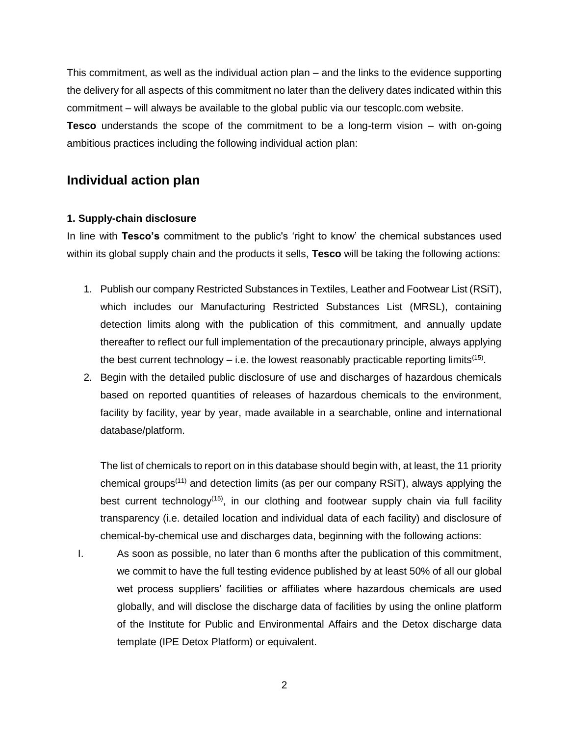This commitment, as well as the individual action plan – and the links to the evidence supporting the delivery for all aspects of this commitment no later than the delivery dates indicated within this commitment – will always be available to the global public via our tescoplc.com website.

**Tesco** understands the scope of the commitment to be a long-term vision – with on-going ambitious practices including the following individual action plan:

# **Individual action plan**

## **1. Supply-chain disclosure**

In line with **Tesco's** commitment to the public's 'right to know' the chemical substances used within its global supply chain and the products it sells, **Tesco** will be taking the following actions:

- 1. Publish our company Restricted Substances in Textiles, Leather and Footwear List (RSiT), which includes our Manufacturing Restricted Substances List (MRSL), containing detection limits along with the publication of this commitment, and annually update thereafter to reflect our full implementation of the precautionary principle, always applying the best current technology  $-$  i.e. the lowest reasonably practicable reporting limits<sup>(15)</sup>.
- 2. Begin with the detailed public disclosure of use and discharges of hazardous chemicals based on reported quantities of releases of hazardous chemicals to the environment, facility by facility, year by year, made available in a searchable, online and international database/platform.

The list of chemicals to report on in this database should begin with, at least, the 11 priority chemical groups(11) and detection limits (as per our company RSiT), always applying the best current technology<sup> $(15)$ </sup>, in our clothing and footwear supply chain via full facility transparency (i.e. detailed location and individual data of each facility) and disclosure of chemical-by-chemical use and discharges data, beginning with the following actions:

I. As soon as possible, no later than 6 months after the publication of this commitment, we commit to have the full testing evidence published by at least 50% of all our global wet process suppliers' facilities or affiliates where hazardous chemicals are used globally, and will disclose the discharge data of facilities by using the online platform of the Institute for Public and Environmental Affairs and the Detox discharge data template (IPE Detox Platform) or equivalent.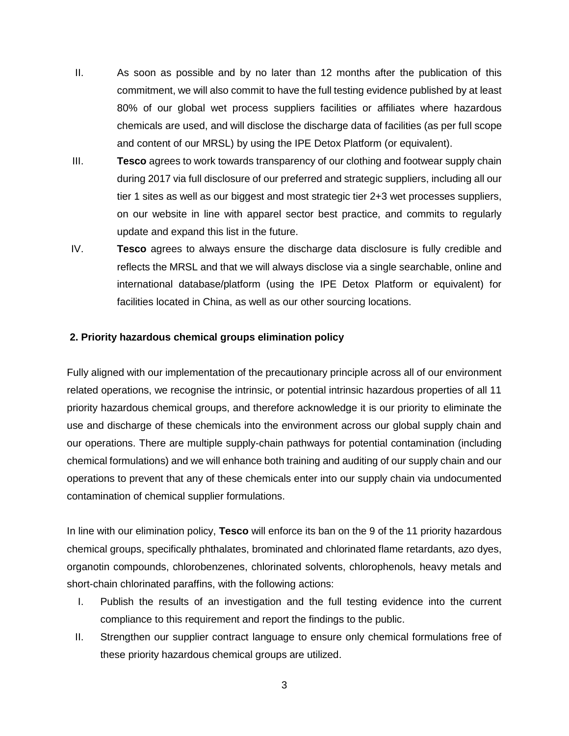- II. As soon as possible and by no later than 12 months after the publication of this commitment, we will also commit to have the full testing evidence published by at least 80% of our global wet process suppliers facilities or affiliates where hazardous chemicals are used, and will disclose the discharge data of facilities (as per full scope and content of our MRSL) by using the IPE Detox Platform (or equivalent).
- III. **Tesco** agrees to work towards transparency of our clothing and footwear supply chain during 2017 via full disclosure of our preferred and strategic suppliers, including all our tier 1 sites as well as our biggest and most strategic tier 2+3 wet processes suppliers, on our website in line with apparel sector best practice, and commits to regularly update and expand this list in the future.
- IV. **Tesco** agrees to always ensure the discharge data disclosure is fully credible and reflects the MRSL and that we will always disclose via a single searchable, online and international database/platform (using the IPE Detox Platform or equivalent) for facilities located in China, as well as our other sourcing locations.

### **2. Priority hazardous chemical groups elimination policy**

Fully aligned with our implementation of the precautionary principle across all of our environment related operations, we recognise the intrinsic, or potential intrinsic hazardous properties of all 11 priority hazardous chemical groups, and therefore acknowledge it is our priority to eliminate the use and discharge of these chemicals into the environment across our global supply chain and our operations. There are multiple supply-chain pathways for potential contamination (including chemical formulations) and we will enhance both training and auditing of our supply chain and our operations to prevent that any of these chemicals enter into our supply chain via undocumented contamination of chemical supplier formulations.

In line with our elimination policy, **Tesco** will enforce its ban on the 9 of the 11 priority hazardous chemical groups, specifically phthalates, brominated and chlorinated flame retardants, azo dyes, organotin compounds, chlorobenzenes, chlorinated solvents, chlorophenols, heavy metals and short-chain chlorinated paraffins, with the following actions:

- I. Publish the results of an investigation and the full testing evidence into the current compliance to this requirement and report the findings to the public.
- II. Strengthen our supplier contract language to ensure only chemical formulations free of these priority hazardous chemical groups are utilized.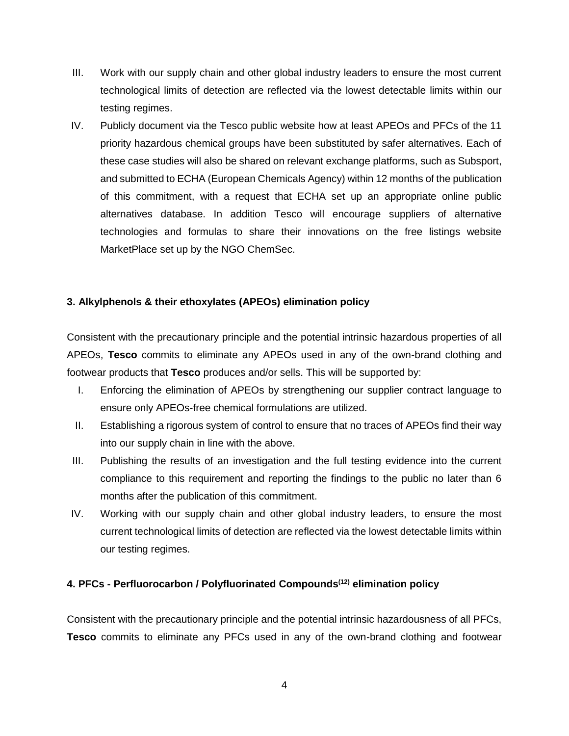- III. Work with our supply chain and other global industry leaders to ensure the most current technological limits of detection are reflected via the lowest detectable limits within our testing regimes.
- IV. Publicly document via the Tesco public website how at least APEOs and PFCs of the 11 priority hazardous chemical groups have been substituted by safer alternatives. Each of these case studies will also be shared on relevant exchange platforms, such as Subsport, and submitted to ECHA (European Chemicals Agency) within 12 months of the publication of this commitment, with a request that ECHA set up an appropriate online public alternatives database. In addition Tesco will encourage suppliers of alternative technologies and formulas to share their innovations on the free listings website MarketPlace set up by the NGO ChemSec.

# **3. Alkylphenols & their ethoxylates (APEOs) elimination policy**

Consistent with the precautionary principle and the potential intrinsic hazardous properties of all APEOs, **Tesco** commits to eliminate any APEOs used in any of the own-brand clothing and footwear products that **Tesco** produces and/or sells. This will be supported by:

- I. Enforcing the elimination of APEOs by strengthening our supplier contract language to ensure only APEOs-free chemical formulations are utilized.
- II. Establishing a rigorous system of control to ensure that no traces of APEOs find their way into our supply chain in line with the above.
- III. Publishing the results of an investigation and the full testing evidence into the current compliance to this requirement and reporting the findings to the public no later than 6 months after the publication of this commitment.
- IV. Working with our supply chain and other global industry leaders, to ensure the most current technological limits of detection are reflected via the lowest detectable limits within our testing regimes.

# **4. PFCs - Perfluorocarbon / Polyfluorinated Compounds(12) elimination policy**

Consistent with the precautionary principle and the potential intrinsic hazardousness of all PFCs, **Tesco** commits to eliminate any PFCs used in any of the own-brand clothing and footwear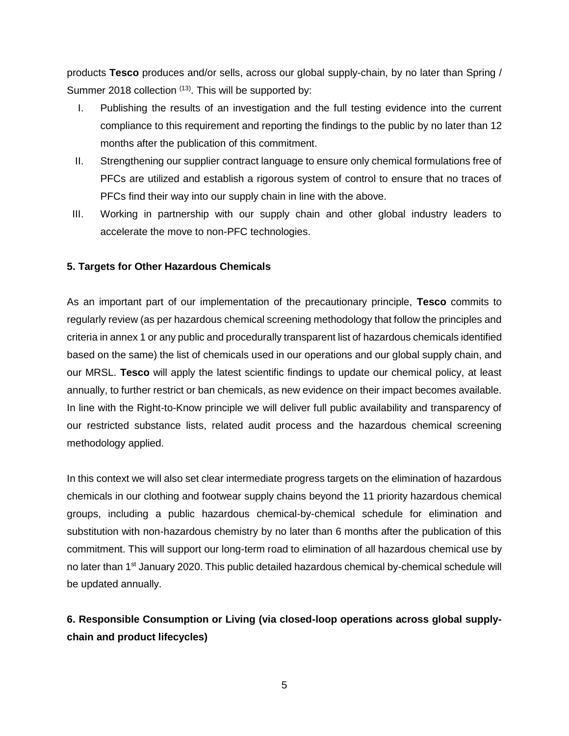products **Tesco** produces and/or sells, across our global supply-chain, by no later than Spring / Summer 2018 collection  $(13)$ . This will be supported by:

- I. Publishing the results of an investigation and the full testing evidence into the current compliance to this requirement and reporting the findings to the public by no later than 12 months after the publication of this commitment.
- II. Strengthening our supplier contract language to ensure only chemical formulations free of PFCs are utilized and establish a rigorous system of control to ensure that no traces of PFCs find their way into our supply chain in line with the above.
- III. Working in partnership with our supply chain and other global industry leaders to accelerate the move to non-PFC technologies.

## **5. Targets for Other Hazardous Chemicals**

As an important part of our implementation of the precautionary principle, **Tesco** commits to regularly review (as per hazardous chemical screening methodology that follow the principles and criteria in annex 1 or any public and procedurally transparent list of hazardous chemicals identified based on the same) the list of chemicals used in our operations and our global supply chain, and our MRSL. **Tesco** will apply the latest scientific findings to update our chemical policy, at least annually, to further restrict or ban chemicals, as new evidence on their impact becomes available. In line with the Right-to-Know principle we will deliver full public availability and transparency of our restricted substance lists, related audit process and the hazardous chemical screening methodology applied.

In this context we will also set clear intermediate progress targets on the elimination of hazardous chemicals in our clothing and footwear supply chains beyond the 11 priority hazardous chemical groups, including a public hazardous chemical-by-chemical schedule for elimination and substitution with non-hazardous chemistry by no later than 6 months after the publication of this commitment. This will support our long-term road to elimination of all hazardous chemical use by no later than 1<sup>st</sup> January 2020. This public detailed hazardous chemical by-chemical schedule will be updated annually.

# **6. Responsible Consumption or Living (via closed-loop operations across global supplychain and product lifecycles)**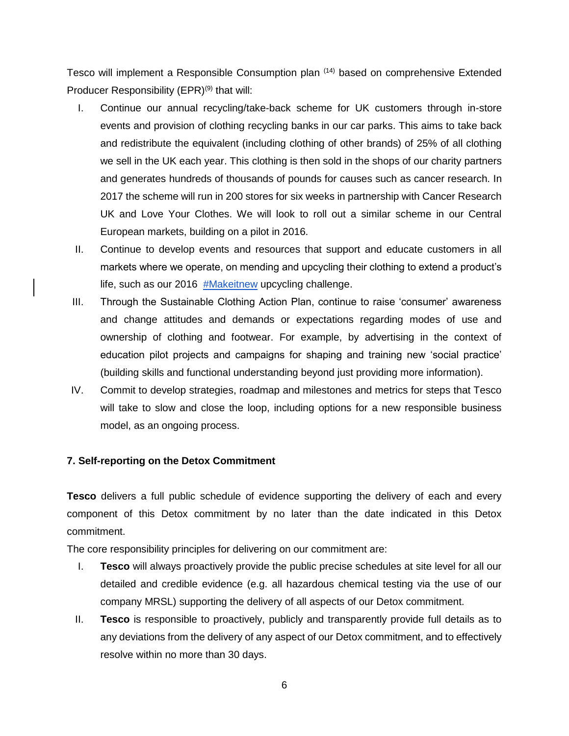Tesco will implement a Responsible Consumption plan (14) based on comprehensive Extended Producer Responsibility  $(EPR)^{(9)}$  that will:

- I. Continue our annual recycling/take-back scheme for UK customers through in-store events and provision of clothing recycling banks in our car parks. This aims to take back and redistribute the equivalent (including clothing of other brands) of 25% of all clothing we sell in the UK each year. This clothing is then sold in the shops of our charity partners and generates hundreds of thousands of pounds for causes such as cancer research. In 2017 the scheme will run in 200 stores for six weeks in partnership with Cancer Research UK and Love Your Clothes. We will look to roll out a similar scheme in our Central European markets, building on a pilot in 2016.
- II. Continue to develop events and resources that support and educate customers in all markets where we operate, on mending and upcycling their clothing to extend a product's life, such as our 2016 [#Makeitnew](http://loveyourclothes.org.uk/videos/upcycling-tips-makeitnew-challenge) upcycling challenge.
- III. Through the Sustainable Clothing Action Plan, continue to raise 'consumer' awareness and change attitudes and demands or expectations regarding modes of use and ownership of clothing and footwear. For example, by advertising in the context of education pilot projects and campaigns for shaping and training new 'social practice' (building skills and functional understanding beyond just providing more information).
- IV. Commit to develop strategies, roadmap and milestones and metrics for steps that Tesco will take to slow and close the loop, including options for a new responsible business model, as an ongoing process.

### **7. Self-reporting on the Detox Commitment**

**Tesco** delivers a full public schedule of evidence supporting the delivery of each and every component of this Detox commitment by no later than the date indicated in this Detox commitment.

The core responsibility principles for delivering on our commitment are:

- I. **Tesco** will always proactively provide the public precise schedules at site level for all our detailed and credible evidence (e.g. all hazardous chemical testing via the use of our company MRSL) supporting the delivery of all aspects of our Detox commitment.
- II. **Tesco** is responsible to proactively, publicly and transparently provide full details as to any deviations from the delivery of any aspect of our Detox commitment, and to effectively resolve within no more than 30 days.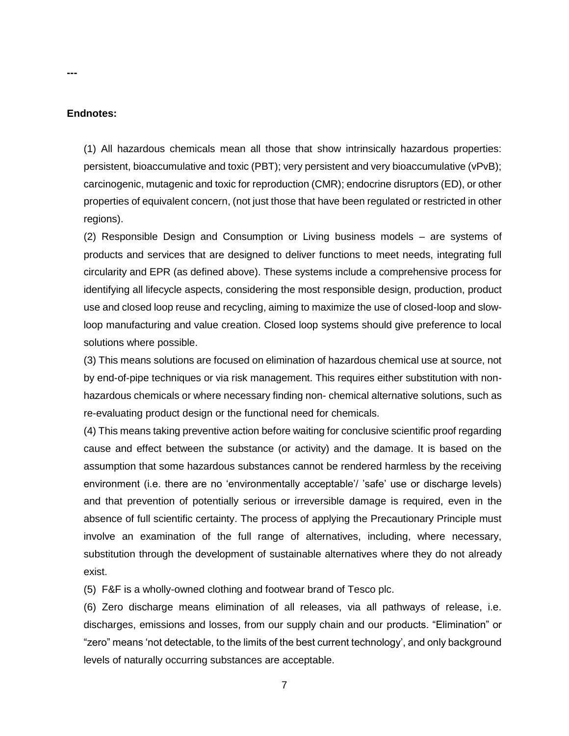#### **Endnotes:**

**---**

(1) All hazardous chemicals mean all those that show intrinsically hazardous properties: persistent, bioaccumulative and toxic (PBT); very persistent and very bioaccumulative (vPvB); carcinogenic, mutagenic and toxic for reproduction (CMR); endocrine disruptors (ED), or other properties of equivalent concern, (not just those that have been regulated or restricted in other regions).

(2) Responsible Design and Consumption or Living business models – are systems of products and services that are designed to deliver functions to meet needs, integrating full circularity and EPR (as defined above). These systems include a comprehensive process for identifying all lifecycle aspects, considering the most responsible design, production, product use and closed loop reuse and recycling, aiming to maximize the use of closed-loop and slowloop manufacturing and value creation. Closed loop systems should give preference to local solutions where possible.

(3) This means solutions are focused on elimination of hazardous chemical use at source, not by end-of-pipe techniques or via risk management. This requires either substitution with nonhazardous chemicals or where necessary finding non- chemical alternative solutions, such as re-evaluating product design or the functional need for chemicals.

(4) This means taking preventive action before waiting for conclusive scientific proof regarding cause and effect between the substance (or activity) and the damage. It is based on the assumption that some hazardous substances cannot be rendered harmless by the receiving environment (i.e. there are no 'environmentally acceptable'/ 'safe' use or discharge levels) and that prevention of potentially serious or irreversible damage is required, even in the absence of full scientific certainty. The process of applying the Precautionary Principle must involve an examination of the full range of alternatives, including, where necessary, substitution through the development of sustainable alternatives where they do not already exist.

(5) F&F is a wholly-owned clothing and footwear brand of Tesco plc.

(6) Zero discharge means elimination of all releases, via all pathways of release, i.e. discharges, emissions and losses, from our supply chain and our products. "Elimination" or "zero" means 'not detectable, to the limits of the best current technology', and only background levels of naturally occurring substances are acceptable.

7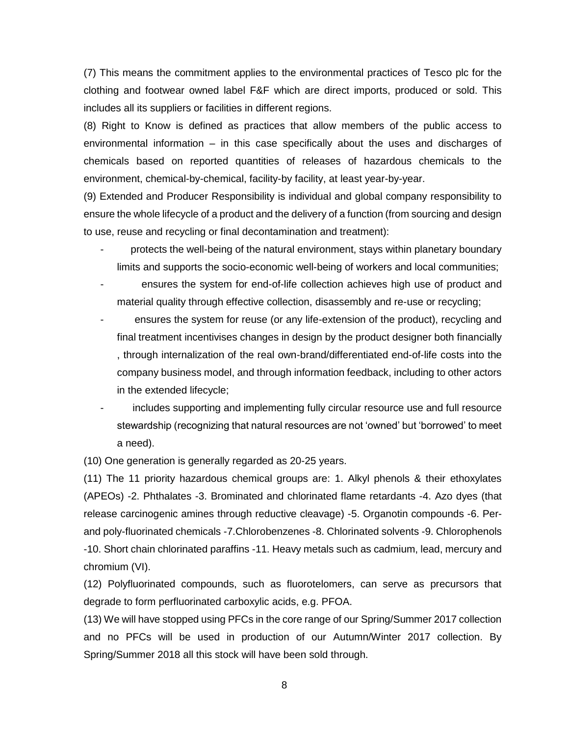(7) This means the commitment applies to the environmental practices of Tesco plc for the clothing and footwear owned label F&F which are direct imports, produced or sold. This includes all its suppliers or facilities in different regions.

(8) Right to Know is defined as practices that allow members of the public access to environmental information – in this case specifically about the uses and discharges of chemicals based on reported quantities of releases of hazardous chemicals to the environment, chemical-by-chemical, facility-by facility, at least year-by-year.

(9) Extended and Producer Responsibility is individual and global company responsibility to ensure the whole lifecycle of a product and the delivery of a function (from sourcing and design to use, reuse and recycling or final decontamination and treatment):

- protects the well-being of the natural environment, stays within planetary boundary limits and supports the socio-economic well-being of workers and local communities;
- ensures the system for end-of-life collection achieves high use of product and material quality through effective collection, disassembly and re-use or recycling;
- ensures the system for reuse (or any life-extension of the product), recycling and final treatment incentivises changes in design by the product designer both financially , through internalization of the real own-brand/differentiated end-of-life costs into the company business model, and through information feedback, including to other actors in the extended lifecycle;
- includes supporting and implementing fully circular resource use and full resource stewardship (recognizing that natural resources are not 'owned' but 'borrowed' to meet a need).

(10) One generation is generally regarded as 20-25 years.

(11) The 11 priority hazardous chemical groups are: 1. Alkyl phenols & their ethoxylates (APEOs) -2. Phthalates -3. Brominated and chlorinated flame retardants -4. Azo dyes (that release carcinogenic amines through reductive cleavage) -5. Organotin compounds -6. Perand poly-fluorinated chemicals -7.Chlorobenzenes -8. Chlorinated solvents -9. Chlorophenols -10. Short chain chlorinated paraffins -11. Heavy metals such as cadmium, lead, mercury and chromium (VI).

(12) Polyfluorinated compounds, such as fluorotelomers, can serve as precursors that degrade to form perfluorinated carboxylic acids, e.g. PFOA.

(13) We will have stopped using PFCs in the core range of our Spring/Summer 2017 collection and no PFCs will be used in production of our Autumn/Winter 2017 collection. By Spring/Summer 2018 all this stock will have been sold through.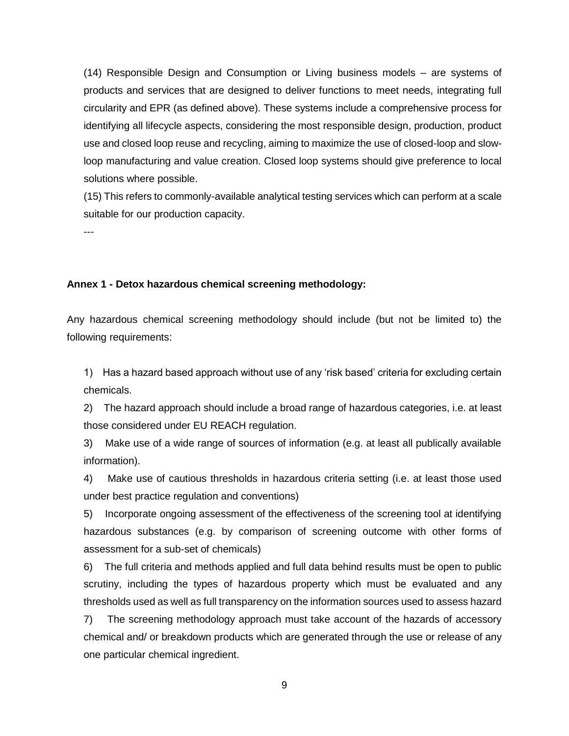(14) Responsible Design and Consumption or Living business models – are systems of products and services that are designed to deliver functions to meet needs, integrating full circularity and EPR (as defined above). These systems include a comprehensive process for identifying all lifecycle aspects, considering the most responsible design, production, product use and closed loop reuse and recycling, aiming to maximize the use of closed-loop and slowloop manufacturing and value creation. Closed loop systems should give preference to local solutions where possible.

(15) This refers to commonly-available analytical testing services which can perform at a scale suitable for our production capacity.

---

#### **Annex 1 - Detox hazardous chemical screening methodology:**

Any hazardous chemical screening methodology should include (but not be limited to) the following requirements:

1) Has a hazard based approach without use of any 'risk based' criteria for excluding certain chemicals.

2) The hazard approach should include a broad range of hazardous categories, i.e. at least those considered under EU REACH regulation.

3) Make use of a wide range of sources of information (e.g. at least all publically available information).

4) Make use of cautious thresholds in hazardous criteria setting (i.e. at least those used under best practice regulation and conventions)

5) Incorporate ongoing assessment of the effectiveness of the screening tool at identifying hazardous substances (e.g. by comparison of screening outcome with other forms of assessment for a sub-set of chemicals)

6) The full criteria and methods applied and full data behind results must be open to public scrutiny, including the types of hazardous property which must be evaluated and any thresholds used as well as full transparency on the information sources used to assess hazard

7) The screening methodology approach must take account of the hazards of accessory chemical and/ or breakdown products which are generated through the use or release of any one particular chemical ingredient.